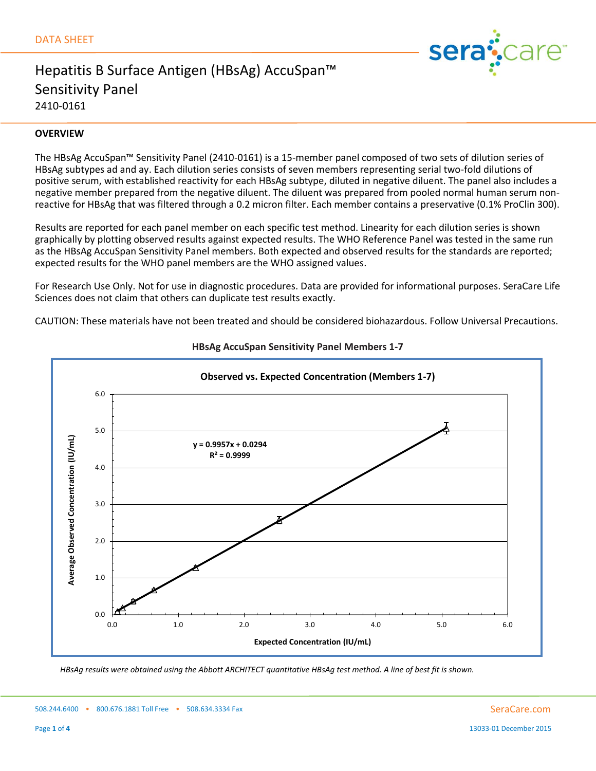

### **OVERVIEW**

The HBsAg AccuSpan™ Sensitivity Panel (2410-0161) is a 15-member panel composed of two sets of dilution series of HBsAg subtypes ad and ay. Each dilution series consists of seven members representing serial two-fold dilutions of positive serum, with established reactivity for each HBsAg subtype, diluted in negative diluent. The panel also includes a negative member prepared from the negative diluent. The diluent was prepared from pooled normal human serum nonreactive for HBsAg that was filtered through a 0.2 micron filter. Each member contains a preservative (0.1% ProClin 300).

Results are reported for each panel member on each specific test method. Linearity for each dilution series is shown graphically by plotting observed results against expected results. The WHO Reference Panel was tested in the same run as the HBsAg AccuSpan Sensitivity Panel members. Both expected and observed results for the standards are reported; expected results for the WHO panel members are the WHO assigned values.

For Research Use Only. Not for use in diagnostic procedures. Data are provided for informational purposes. SeraCare Life Sciences does not claim that others can duplicate test results exactly.

CAUTION: These materials have not been treated and should be considered biohazardous. Follow Universal Precautions.



**HBsAg AccuSpan Sensitivity Panel Members 1-7**

*HBsAg results were obtained using the Abbott ARCHITECT quantitative HBsAg test method. A line of best fit is shown.*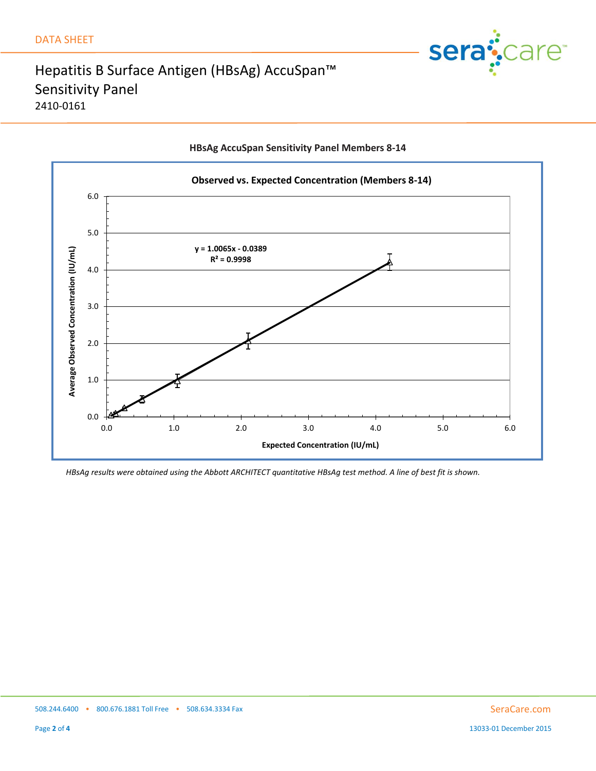



### **HBsAg AccuSpan Sensitivity Panel Members 8-14**

*HBsAg results were obtained using the Abbott ARCHITECT quantitative HBsAg test method. A line of best fit is shown.*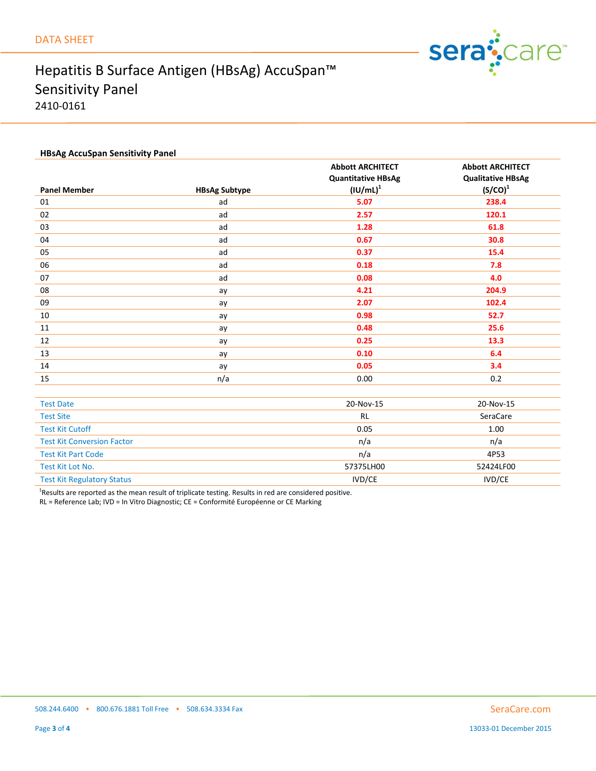

### **HBsAg AccuSpan Sensitivity Panel**

|                                   |                      | <b>Abbott ARCHITECT</b>       | <b>Abbott ARCHITECT</b>  |
|-----------------------------------|----------------------|-------------------------------|--------------------------|
|                                   |                      | <b>Quantitative HBsAg</b>     | <b>Qualitative HBsAg</b> |
| <b>Panel Member</b>               | <b>HBsAg Subtype</b> | $\left(\text{IU/mL}\right)^1$ | $(S/CO)^1$               |
| 01                                | ad                   | 5.07                          | 238.4                    |
| 02                                | ad                   | 2.57                          | 120.1                    |
| 03                                | ad                   | 1.28                          | 61.8                     |
| 04                                | ad                   | 0.67                          | 30.8                     |
| 05                                | ad                   | 0.37                          | 15.4                     |
| 06                                | ad                   | 0.18                          | 7.8                      |
| 07                                | ad                   | 0.08                          | 4.0                      |
| 08                                | ay                   | 4.21                          | 204.9                    |
| 09                                | ay                   | 2.07                          | 102.4                    |
| 10                                | ay                   | 0.98                          | 52.7                     |
| 11                                | ay                   | 0.48                          | 25.6                     |
| 12                                | ay                   | 0.25                          | 13.3                     |
| 13                                | ay                   | 0.10                          | 6.4                      |
| 14                                | ay                   | 0.05                          | 3.4                      |
| 15                                | n/a                  | 0.00                          | 0.2                      |
|                                   |                      |                               |                          |
| <b>Test Date</b>                  |                      | 20-Nov-15                     | 20-Nov-15                |
| <b>Test Site</b>                  |                      | <b>RL</b>                     | SeraCare                 |
| <b>Test Kit Cutoff</b>            |                      | 0.05                          | 1.00                     |
| <b>Test Kit Conversion Factor</b> |                      | n/a                           | n/a                      |
| <b>Test Kit Part Code</b>         |                      | n/a                           | 4P53                     |
| Test Kit Lot No.                  |                      | 57375LH00                     | 52424LF00                |
| <b>Test Kit Regulatory Status</b> |                      | IVD/CE                        | <b>IVD/CE</b>            |

<sup>1</sup>Results are reported as the mean result of triplicate testing. Results in red are considered positive.

RL = Reference Lab; IVD = In Vitro Diagnostic; CE = Conformité Européenne or CE Marking